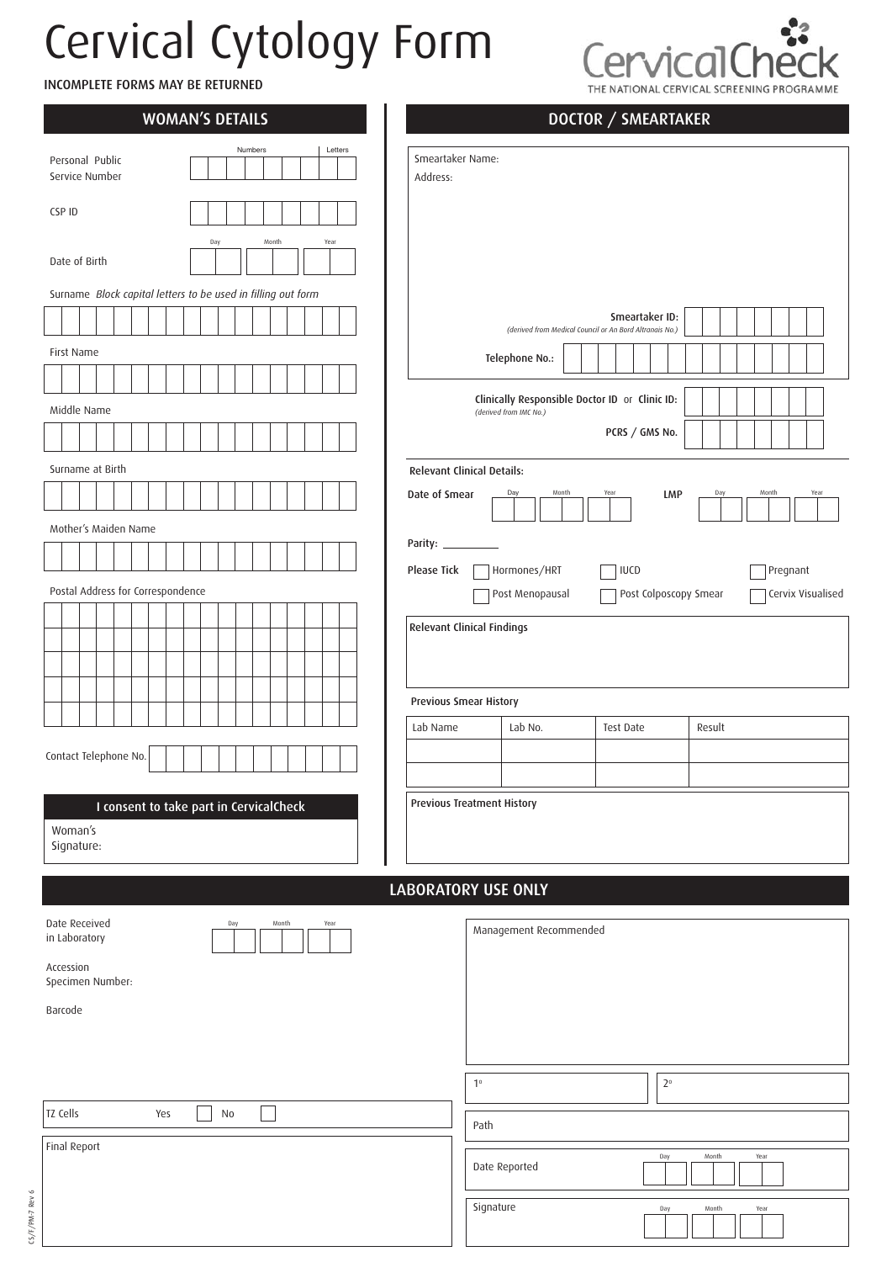# Cervical Cytology Form



INCOMPLETE FORMS MAY BE RETURNED

| <b>WOMAN'S DETAILS</b>                                       | DOCTOR / SMEARTAKER                                                                         |
|--------------------------------------------------------------|---------------------------------------------------------------------------------------------|
| Numbers<br>Letters<br>Personal Public<br>Service Number      | Smeartaker Name:<br>Address:                                                                |
| CSP ID<br>Month<br>Day<br>Year                               |                                                                                             |
| Date of Birth                                                |                                                                                             |
| Surname Block capital letters to be used in filling out form |                                                                                             |
| First Name                                                   | Smeartaker ID:<br>(derived from Medical Council or An Bord Altranais No.)<br>Telephone No.: |
|                                                              |                                                                                             |
| Middle Name                                                  | Clinically Responsible Doctor ID or Clinic ID:<br>(derived from IMC No.)                    |
|                                                              | PCRS / GMS No.                                                                              |
| Surname at Birth                                             | <b>Relevant Clinical Details:</b>                                                           |
|                                                              | Month<br>Date of Smear<br>Month<br>Year<br>Day<br>Year<br><b>LMP</b><br>Day                 |
| Mother's Maiden Name                                         |                                                                                             |
|                                                              | Please Tick<br>Hormones/HRT<br>IUCD<br>Pregnant                                             |
| Postal Address for Correspondence                            | Post Menopausal<br>Post Colposcopy Smear<br>Cervix Visualised                               |
|                                                              | Relevant Clinical Findings                                                                  |
|                                                              |                                                                                             |
|                                                              |                                                                                             |
|                                                              | <b>Previous Smear History</b>                                                               |
|                                                              | Lab Name<br>Lab No.<br>Test Date<br>Result                                                  |
| Contact Telephone No.                                        |                                                                                             |
|                                                              |                                                                                             |
| I consent to take part in CervicalCheck                      | <b>Previous Treatment History</b>                                                           |
| Woman's<br>Signature:                                        |                                                                                             |
|                                                              |                                                                                             |
|                                                              | <b>LABORATORY USE ONLY</b>                                                                  |
| Date Received<br>Month<br>Year<br>Day<br>in Laboratory       | Management Recommended                                                                      |
| Accession                                                    |                                                                                             |
| Specimen Number:                                             |                                                                                             |
| Barcode                                                      |                                                                                             |
|                                                              |                                                                                             |
|                                                              | $2^{\rm o}$<br>$1^{\circ}$                                                                  |
| TZ Cells<br>Yes<br>$\rm No$                                  | Path                                                                                        |
| Final Report                                                 | Month<br>Year<br>Day<br>Date Reported                                                       |
|                                                              | Signature<br>Month<br>Day<br>Year                                                           |

CS/F/PM-7 Rev 6 CS/F/PM-7 Rev 6